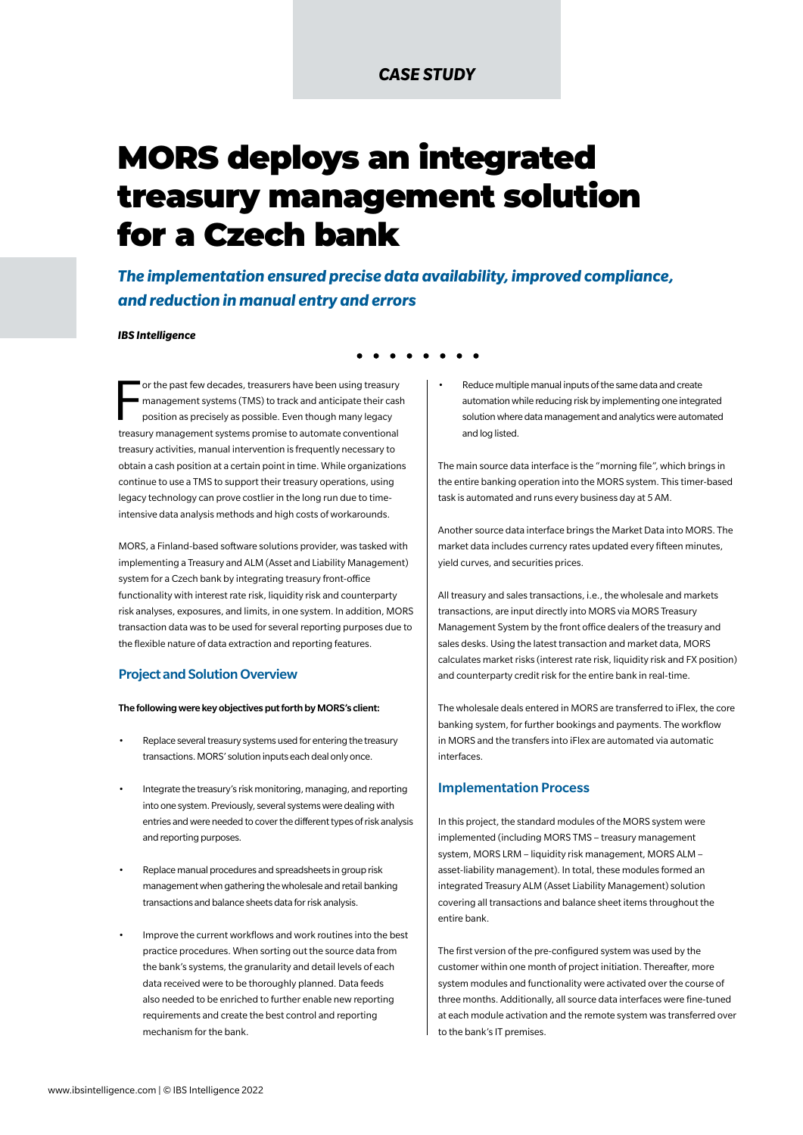# *CASE STUDY*

# MORS deploys an integrated treasury management solution for a Czech bank

*The implementation ensured precise data availability, improved compliance, and reduction in manual entry and errors*

#### *IBS Intelligence*

F or the past few decades, treasurers have been using treasury management systems (TMS) to track and anticipate their cash position as precisely as possible. Even though many legacy treasury management systems promise to automate conventional treasury activities, manual intervention is frequently necessary to obtain a cash position at a certain point in time. While organizations continue to use a TMS to support their treasury operations, using legacy technology can prove costlier in the long run due to timeintensive data analysis methods and high costs of workarounds.

MORS, a Finland-based software solutions provider, was tasked with implementing a Treasury and ALM (Asset and Liability Management) system for a Czech bank by integrating treasury front-office functionality with interest rate risk, liquidity risk and counterparty risk analyses, exposures, and limits, in one system. In addition, MORS transaction data was to be used for several reporting purposes due to the flexible nature of data extraction and reporting features.

### Project and Solution Overview

#### The following were key objectives put forth by MORS's client:

- Replace several treasury systems used for entering the treasury transactions. MORS' solution inputs each deal only once.
- Integrate the treasury's risk monitoring, managing, and reporting into one system. Previously, several systems were dealing with entries and were needed to cover the different types of risk analysis and reporting purposes.
- Replace manual procedures and spreadsheets in group risk management when gathering the wholesale and retail banking transactions and balance sheets data for risk analysis.
- Improve the current workflows and work routines into the best practice procedures. When sorting out the source data from the bank's systems, the granularity and detail levels of each data received were to be thoroughly planned. Data feeds also needed to be enriched to further enable new reporting requirements and create the best control and reporting mechanism for the bank.

• Reduce multiple manual inputs of the same data and create automation while reducing risk by implementing one integrated solution where data management and analytics were automated and log listed.

The main source data interface is the "morning file", which brings in the entire banking operation into the MORS system. This timer-based task is automated and runs every business day at 5 AM.

Another source data interface brings the Market Data into MORS. The market data includes currency rates updated every fifteen minutes, yield curves, and securities prices.

All treasury and sales transactions, i.e., the wholesale and markets transactions, are input directly into MORS via MORS Treasury Management System by the front office dealers of the treasury and sales desks. Using the latest transaction and market data, MORS calculates market risks (interest rate risk, liquidity risk and FX position) and counterparty credit risk for the entire bank in real-time.

The wholesale deals entered in MORS are transferred to iFlex, the core banking system, for further bookings and payments. The workflow in MORS and the transfers into iFlex are automated via automatic interfaces.

## Implementation Process

In this project, the standard modules of the MORS system were implemented (including MORS TMS – treasury management system, MORS LRM – liquidity risk management, MORS ALM – asset-liability management). In total, these modules formed an integrated Treasury ALM (Asset Liability Management) solution covering all transactions and balance sheet items throughout the entire bank.

The first version of the pre-configured system was used by the customer within one month of project initiation. Thereafter, more system modules and functionality were activated over the course of three months. Additionally, all source data interfaces were fine-tuned at each module activation and the remote system was transferred over to the bank's IT premises.